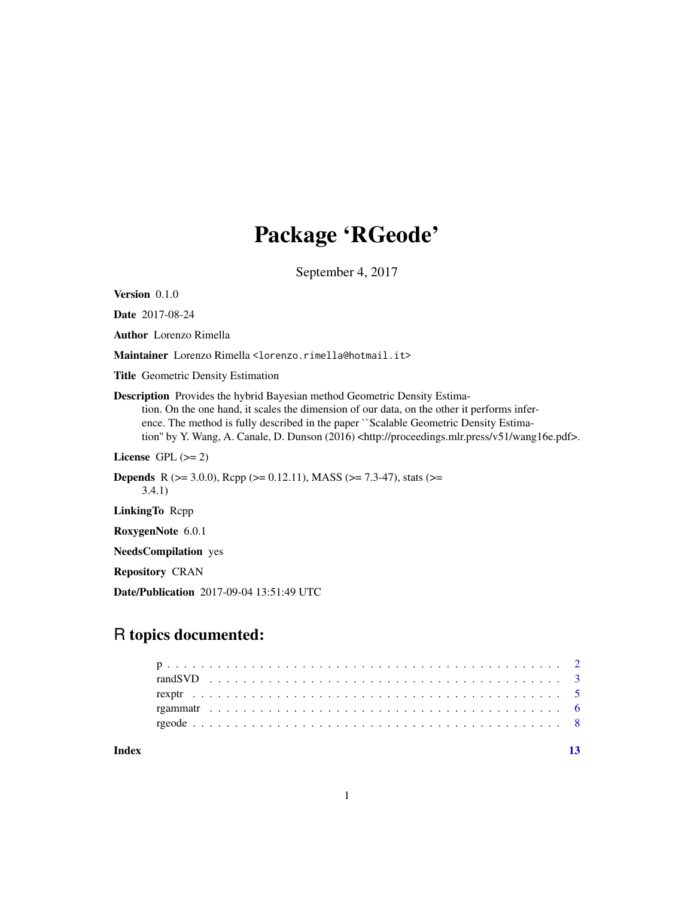## Package 'RGeode'

September 4, 2017

Version 0.1.0

Date 2017-08-24

Author Lorenzo Rimella

Maintainer Lorenzo Rimella <lorenzo.rimella@hotmail.it>

Title Geometric Density Estimation

Description Provides the hybrid Bayesian method Geometric Density Estimation. On the one hand, it scales the dimension of our data, on the other it performs inference. The method is fully described in the paper ``Scalable Geometric Density Estimation" by Y. Wang, A. Canale, D. Dunson (2016) <http://proceedings.mlr.press/v51/wang16e.pdf>.

License GPL  $(>= 2)$ 

**Depends** R ( $>= 3.0.0$ ), Rcpp ( $>= 0.12.11$ ), MASS ( $>= 7.3-47$ ), stats ( $>=$ 3.4.1)

LinkingTo Rcpp

RoxygenNote 6.0.1

NeedsCompilation yes

Repository CRAN

Date/Publication 2017-09-04 13:51:49 UTC

## R topics documented:

**Index** [13](#page-12-0)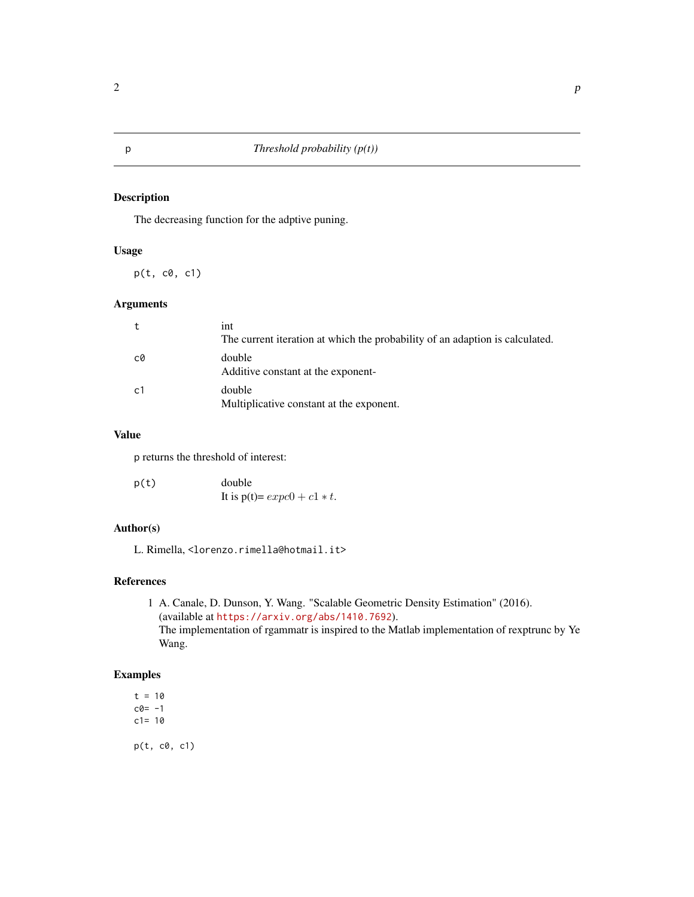## Description

The decreasing function for the adptive puning.

#### Usage

 $p(t, c0, c1)$ 

#### Arguments

|    | int<br>The current iteration at which the probability of an adaption is calculated. |
|----|-------------------------------------------------------------------------------------|
| C0 | double<br>Additive constant at the exponent-                                        |
| c1 | double<br>Multiplicative constant at the exponent.                                  |

## Value

p returns the threshold of interest:

| p(t) | double                          |
|------|---------------------------------|
|      | It is $p(t) = expc0 + c1 * t$ . |

## Author(s)

L. Rimella, <lorenzo.rimella@hotmail.it>

## References

1 A. Canale, D. Dunson, Y. Wang. "Scalable Geometric Density Estimation" (2016). (available at <https://arxiv.org/abs/1410.7692>). The implementation of rgammatr is inspired to the Matlab implementation of rexptrunc by Ye Wang.

#### Examples

 $t = 10$  $c0 = -1$  $c1 = 10$ p(t, c0, c1)

<span id="page-1-0"></span>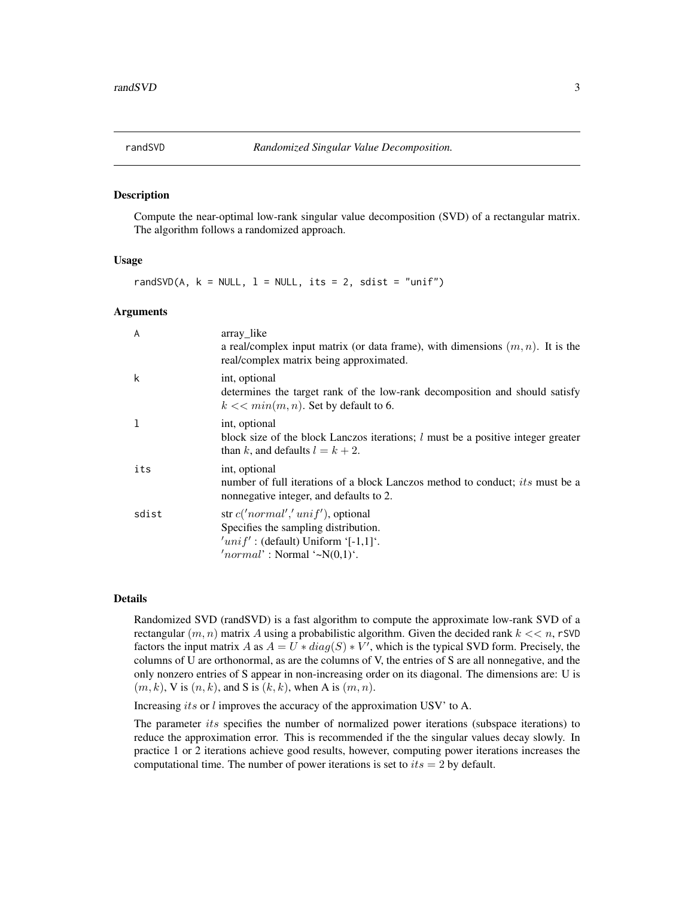<span id="page-2-0"></span>

#### Description

Compute the near-optimal low-rank singular value decomposition (SVD) of a rectangular matrix. The algorithm follows a randomized approach.

#### Usage

randSVD(A,  $k = NULL$ ,  $l = NULL$ , its = 2, sdist = "unif")

#### Arguments

| A     | array_like<br>a real/complex input matrix (or data frame), with dimensions $(m, n)$ . It is the<br>real/complex matrix being approximated.                |
|-------|-----------------------------------------------------------------------------------------------------------------------------------------------------------|
| k     | int, optional<br>determines the target rank of the low-rank decomposition and should satisfy<br>$k \ll \min(m, n)$ . Set by default to 6.                 |
|       | int, optional<br>block size of the block Lanczos iterations; $l$ must be a positive integer greater<br>than k, and defaults $l = k + 2$ .                 |
| its   | int, optional<br>number of full iterations of a block Lanczos method to conduct; <i>its</i> must be a<br>nonnegative integer, and defaults to 2.          |
| sdist | str $c('normal', 'unif')$ , optional<br>Specifies the sampling distribution.<br>$'unif'$ : (default) Uniform '[-1,1]'.<br>'normal': Normal '~ $N(0,1)$ '. |

#### Details

Randomized SVD (randSVD) is a fast algorithm to compute the approximate low-rank SVD of a rectangular  $(m, n)$  matrix A using a probabilistic algorithm. Given the decided rank  $k \ll n$ , rSVD factors the input matrix A as  $A = U * diag(S) * V'$ , which is the typical SVD form. Precisely, the columns of U are orthonormal, as are the columns of V, the entries of S are all nonnegative, and the only nonzero entries of S appear in non-increasing order on its diagonal. The dimensions are: U is  $(m, k)$ , V is  $(n, k)$ , and S is  $(k, k)$ , when A is  $(m, n)$ .

Increasing its or l improves the accuracy of the approximation USV' to A.

The parameter *its* specifies the number of normalized power iterations (subspace iterations) to reduce the approximation error. This is recommended if the the singular values decay slowly. In practice 1 or 2 iterations achieve good results, however, computing power iterations increases the computational time. The number of power iterations is set to  $its = 2$  by default.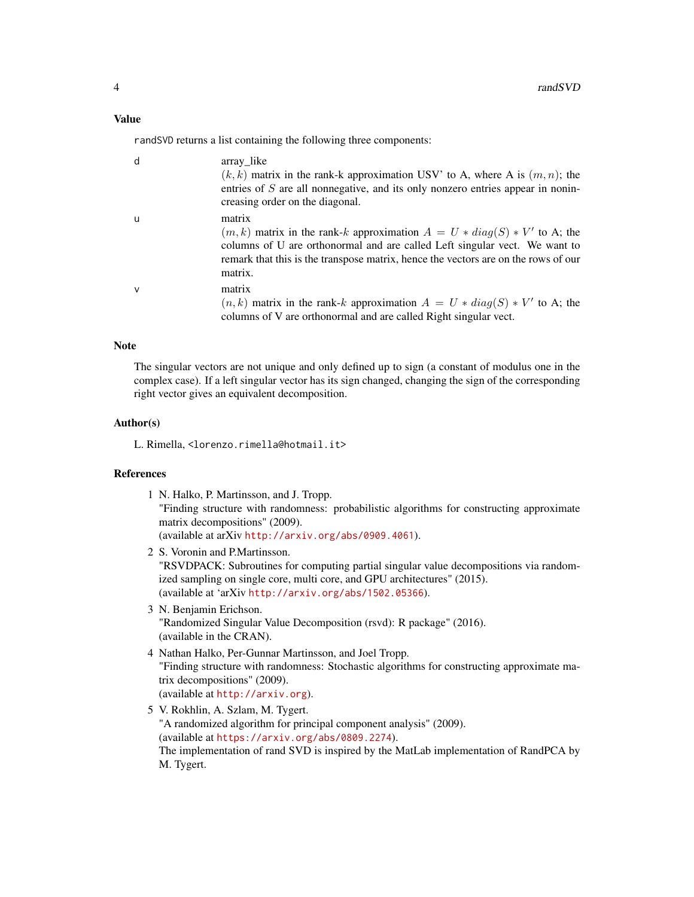randSVD returns a list containing the following three components:

| d | array_like<br>$(k, k)$ matrix in the rank-k approximation USV' to A, where A is $(m, n)$ ; the<br>entries of S are all nonnegative, and its only nonzero entries appear in nonin-<br>creasing order on the diagonal.                                                  |
|---|-----------------------------------------------------------------------------------------------------------------------------------------------------------------------------------------------------------------------------------------------------------------------|
| u | matrix<br>$(m, k)$ matrix in the rank-k approximation $A = U * diag(S) * V'$ to A; the<br>columns of U are orthonormal and are called Left singular vect. We want to<br>remark that this is the transpose matrix, hence the vectors are on the rows of our<br>matrix. |
| v | matrix<br>$(n, k)$ matrix in the rank-k approximation $A = U * diag(S) * V'$ to A; the<br>columns of V are orthonormal and are called Right singular vect.                                                                                                            |

## Note

The singular vectors are not unique and only defined up to sign (a constant of modulus one in the complex case). If a left singular vector has its sign changed, changing the sign of the corresponding right vector gives an equivalent decomposition.

#### Author(s)

L. Rimella, <lorenzo.rimella@hotmail.it>

## References

- 1 N. Halko, P. Martinsson, and J. Tropp. "Finding structure with randomness: probabilistic algorithms for constructing approximate matrix decompositions" (2009). (available at arXiv <http://arxiv.org/abs/0909.4061>).
- 2 S. Voronin and P.Martinsson. "RSVDPACK: Subroutines for computing partial singular value decompositions via randomized sampling on single core, multi core, and GPU architectures" (2015). (available at 'arXiv <http://arxiv.org/abs/1502.05366>).
- 3 N. Benjamin Erichson. "Randomized Singular Value Decomposition (rsvd): R package" (2016). (available in the CRAN).
- 4 Nathan Halko, Per-Gunnar Martinsson, and Joel Tropp. "Finding structure with randomness: Stochastic algorithms for constructing approximate matrix decompositions" (2009). (available at <http://arxiv.org>).
- 5 V. Rokhlin, A. Szlam, M. Tygert. "A randomized algorithm for principal component analysis" (2009). (available at <https://arxiv.org/abs/0809.2274>). The implementation of rand SVD is inspired by the MatLab implementation of RandPCA by M. Tygert.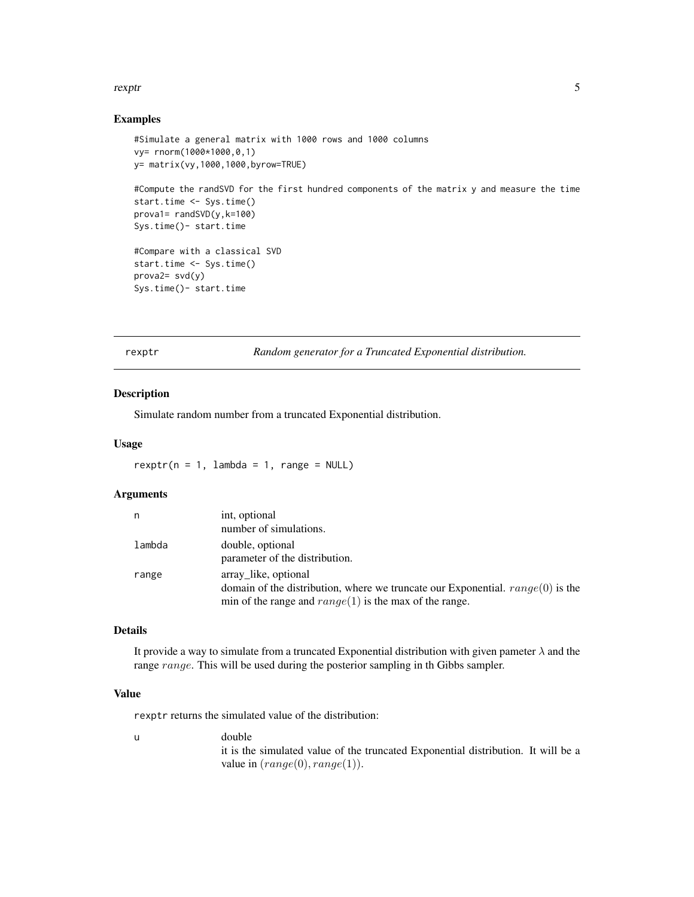#### <span id="page-4-0"></span>rexptriments of the state of the state of the state of the state of the state of the state of the state of the

#### Examples

```
#Simulate a general matrix with 1000 rows and 1000 columns
vy= rnorm(1000*1000,0,1)
y= matrix(vy,1000,1000,byrow=TRUE)
#Compute the randSVD for the first hundred components of the matrix y and measure the time
start.time <- Sys.time()
prova1= randSVD(y,k=100)
Sys.time()- start.time
#Compare with a classical SVD
start.time <- Sys.time()
prova2= svd(y)
Sys.time()- start.time
```
rexptr *Random generator for a Truncated Exponential distribution.*

## Description

Simulate random number from a truncated Exponential distribution.

#### Usage

 $rexptr(n = 1, lambda = 1, range = NULL)$ 

## Arguments

| n      | int, optional                                                                                                                                                        |
|--------|----------------------------------------------------------------------------------------------------------------------------------------------------------------------|
|        | number of simulations.                                                                                                                                               |
| lambda | double, optional<br>parameter of the distribution.                                                                                                                   |
| range  | array like, optional<br>domain of the distribution, where we truncate our Exponential. $range(0)$ is the<br>min of the range and $range(1)$ is the max of the range. |

## Details

It provide a way to simulate from a truncated Exponential distribution with given pameter  $\lambda$  and the range range. This will be used during the posterior sampling in th Gibbs sampler.

## Value

rexptr returns the simulated value of the distribution:

u double it is the simulated value of the truncated Exponential distribution. It will be a value in  $(range(0), range(1)).$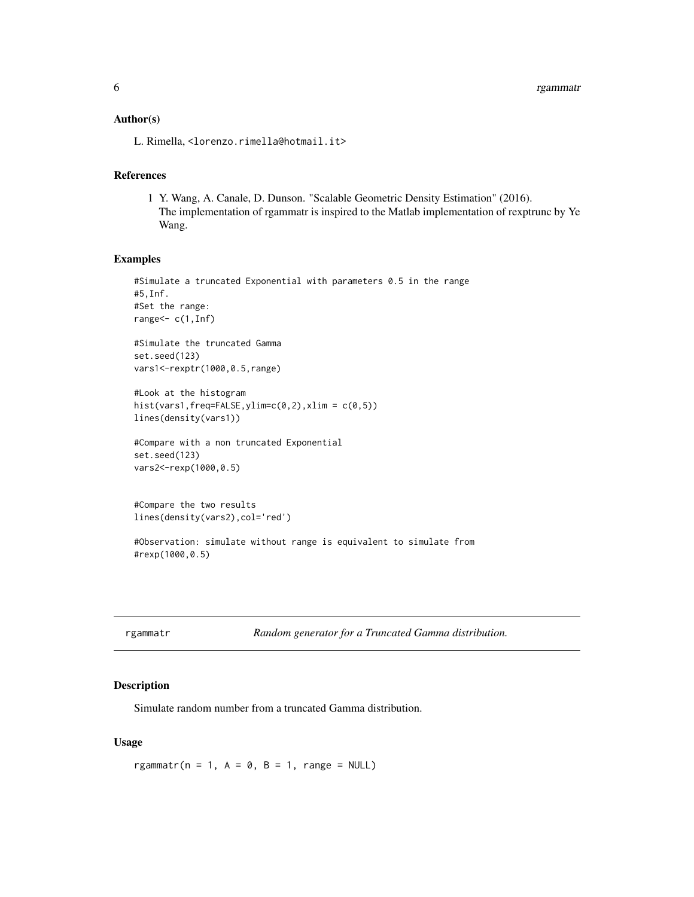#### <span id="page-5-0"></span>Author(s)

L. Rimella, <lorenzo.rimella@hotmail.it>

## References

1 Y. Wang, A. Canale, D. Dunson. "Scalable Geometric Density Estimation" (2016). The implementation of rgammatr is inspired to the Matlab implementation of rexptrunc by Ye Wang.

#### Examples

```
#Simulate a truncated Exponential with parameters 0.5 in the range
#5,Inf.
#Set the range:
range\leq- c(1,Inf)
#Simulate the truncated Gamma
set.seed(123)
vars1<-rexptr(1000,0.5,range)
#Look at the histogram
hist(vars1,freq=FALSE,ylim=c(0,2),xlim = c(0,5))
lines(density(vars1))
#Compare with a non truncated Exponential
set.seed(123)
vars2<-rexp(1000,0.5)
```

```
#Compare the two results
lines(density(vars2),col='red')
```

```
#Observation: simulate without range is equivalent to simulate from
#rexp(1000,0.5)
```

|  | rgammatr |  |  |
|--|----------|--|--|
|  |          |  |  |

Random generator for a Truncated Gamma distribution.

#### Description

Simulate random number from a truncated Gamma distribution.

#### Usage

rgammatr( $n = 1$ ,  $A = 0$ ,  $B = 1$ , range = NULL)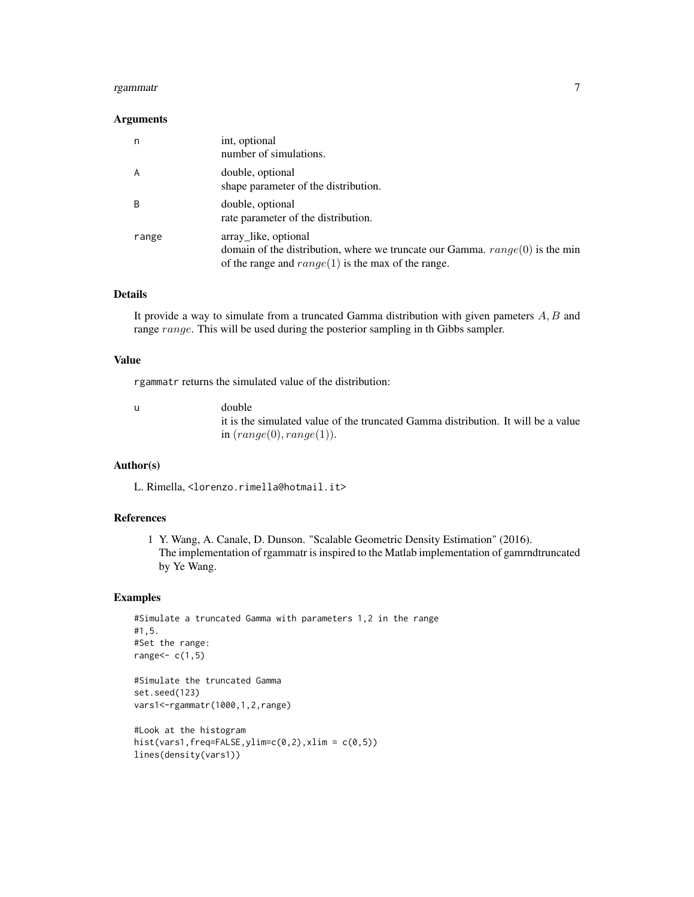#### rgammatr $\sim$  7

#### Arguments

| n     | int, optional<br>number of simulations.                                                                                                                        |
|-------|----------------------------------------------------------------------------------------------------------------------------------------------------------------|
| A     | double, optional<br>shape parameter of the distribution.                                                                                                       |
| B     | double, optional<br>rate parameter of the distribution.                                                                                                        |
| range | array like, optional<br>domain of the distribution, where we truncate our Gamma. $range(0)$ is the min<br>of the range and $range(1)$ is the max of the range. |

## Details

It provide a way to simulate from a truncated Gamma distribution with given pameters  $A, B$  and range range. This will be used during the posterior sampling in th Gibbs sampler.

#### Value

rgammatr returns the simulated value of the distribution:

u double it is the simulated value of the truncated Gamma distribution. It will be a value in  $(range(0), range(1)).$ 

## Author(s)

L. Rimella, <lorenzo.rimella@hotmail.it>

## References

1 Y. Wang, A. Canale, D. Dunson. "Scalable Geometric Density Estimation" (2016). The implementation of rgammatr is inspired to the Matlab implementation of gamrndtruncated by Ye Wang.

## Examples

```
#Simulate a truncated Gamma with parameters 1,2 in the range
#1,5.
#Set the range:
range<- c(1,5)
```

```
#Simulate the truncated Gamma
set.seed(123)
vars1<-rgammatr(1000,1,2,range)
```

```
#Look at the histogram
hist(vars1,freq=FALSE, ylim=c(0,2), xlim = c(0,5))
lines(density(vars1))
```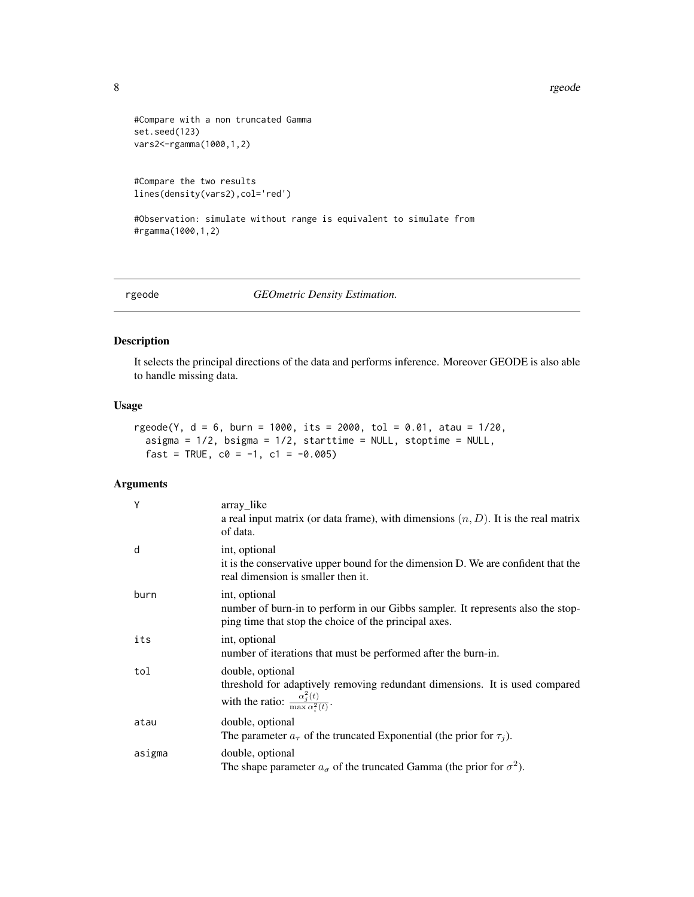8 rgeode in the set of the set of the set of the set of the set of the set of the set of the set of the set of the set of the set of the set of the set of the set of the set of the set of the set of the set of the set of t

```
#Compare with a non truncated Gamma
set.seed(123)
vars2<-rgamma(1000,1,2)
```

```
#Compare the two results
lines(density(vars2),col='red')
```
#Observation: simulate without range is equivalent to simulate from #rgamma(1000,1,2)

rgeode *GEOmetric Density Estimation.*

## Description

It selects the principal directions of the data and performs inference. Moreover GEODE is also able to handle missing data.

#### Usage

```
rgeode(Y, d = 6, burn = 1000, its = 2000, tol = 0.01, atau = 1/20,
 asigma = 1/2, bsigma = 1/2, starttime = NULL, stoptime = NULL,
 fast = TRUE, c0 = -1, c1 = -0.005)
```
#### Arguments

| Y      | array_like<br>a real input matrix (or data frame), with dimensions $(n, D)$ . It is the real matrix<br>of data.                                                 |
|--------|-----------------------------------------------------------------------------------------------------------------------------------------------------------------|
| d      | int, optional<br>it is the conservative upper bound for the dimension D. We are confident that the<br>real dimension is smaller then it.                        |
| burn   | int, optional<br>number of burn-in to perform in our Gibbs sampler. It represents also the stop-<br>ping time that stop the choice of the principal axes.       |
| its    | int, optional<br>number of iterations that must be performed after the burn-in.                                                                                 |
| tol    | double, optional<br>threshold for adaptively removing redundant dimensions. It is used compared<br>with the ratio: $\frac{\alpha_j^2(t)}{\max \alpha_j^2(t)}$ . |
| atau   | double, optional<br>The parameter $a_{\tau}$ of the truncated Exponential (the prior for $\tau_i$ ).                                                            |
| asigma | double, optional<br>The shape parameter $a_{\sigma}$ of the truncated Gamma (the prior for $\sigma^2$ ).                                                        |

<span id="page-7-0"></span>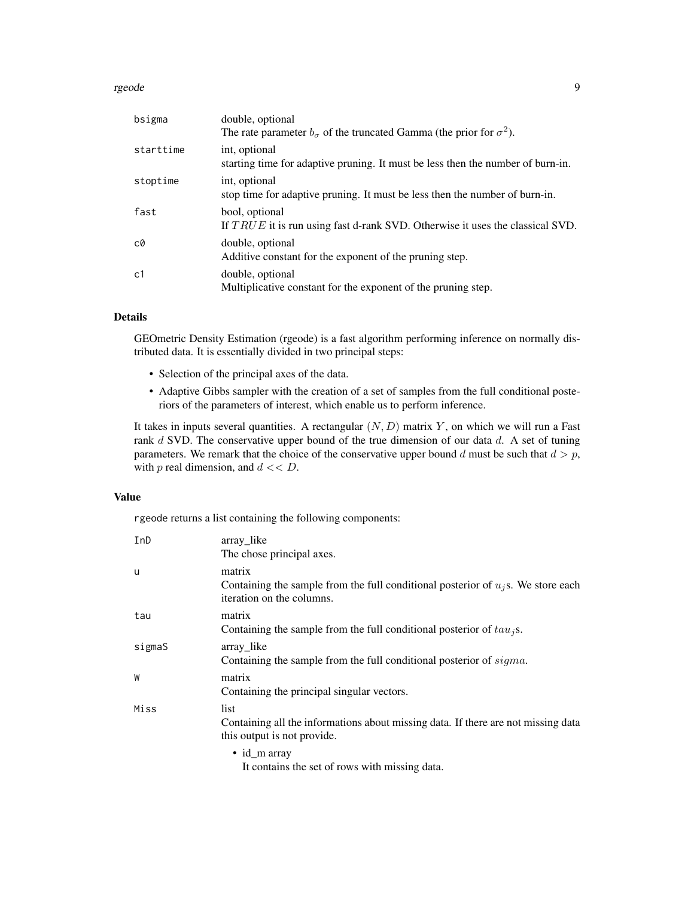#### rgeode to the second series of the series of the series of the series of the series of the series of the series of the series of the series of the series of the series of the series of the series of the series of the serie

| bsigma    | double, optional<br>The rate parameter $b_{\sigma}$ of the truncated Gamma (the prior for $\sigma^2$ ). |
|-----------|---------------------------------------------------------------------------------------------------------|
| starttime | int, optional<br>starting time for adaptive pruning. It must be less then the number of burn-in.        |
| stoptime  | int, optional<br>stop time for adaptive pruning. It must be less then the number of burn-in.            |
| fast      | bool, optional<br>If $TRUE$ it is run using fast d-rank SVD. Otherwise it uses the classical SVD.       |
| c0        | double, optional<br>Additive constant for the exponent of the pruning step.                             |
| c1        | double, optional<br>Multiplicative constant for the exponent of the pruning step.                       |

#### Details

GEOmetric Density Estimation (rgeode) is a fast algorithm performing inference on normally distributed data. It is essentially divided in two principal steps:

- Selection of the principal axes of the data.
- Adaptive Gibbs sampler with the creation of a set of samples from the full conditional posteriors of the parameters of interest, which enable us to perform inference.

It takes in inputs several quantities. A rectangular  $(N, D)$  matrix Y, on which we will run a Fast rank  $d$  SVD. The conservative upper bound of the true dimension of our data  $d$ . A set of tuning parameters. We remark that the choice of the conservative upper bound d must be such that  $d > p$ , with  $p$  real dimension, and  $d \ll D$ .

#### Value

rgeode returns a list containing the following components:

| InD    | array_like<br>The chose principal axes.                                                                                    |
|--------|----------------------------------------------------------------------------------------------------------------------------|
| u      | matrix<br>Containing the sample from the full conditional posterior of $u_i$ s. We store each<br>iteration on the columns. |
| tau    | matrix<br>Containing the sample from the full conditional posterior of $tau_i$ s.                                          |
| sigmaS | array_like<br>Containing the sample from the full conditional posterior of sigma.                                          |
| W      | matrix<br>Containing the principal singular vectors.                                                                       |
| Miss   | list<br>Containing all the informations about missing data. If there are not missing data<br>this output is not provide.   |
|        | $\bullet$ id m array                                                                                                       |

It contains the set of rows with missing data.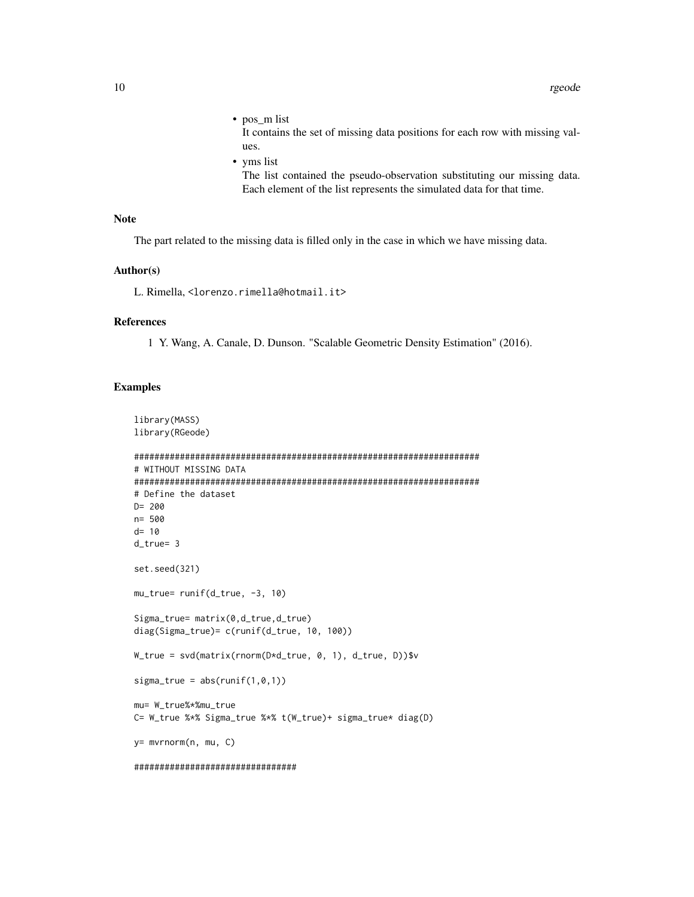- $\bullet$  pos\_m list It contains the set of missing data positions for each row with missing values.
- yms list

The list contained the pseudo-observation substituting our missing data. Each element of the list represents the simulated data for that time.

## **Note**

The part related to the missing data is filled only in the case in which we have missing data.

#### Author(s)

L. Rimella, <lorenzo.rimella@hotmail.it>

## **References**

1 Y. Wang, A. Canale, D. Dunson. "Scalable Geometric Density Estimation" (2016).

### **Examples**

```
library(MASS)
library(RGeode)
# WITHOUT MISSING DATA
# Define the dataset
D = 200n = 500d = 10d_true= 3
set.seed(321)
mu_true= runif(d_true, -3, 10)
Sigma_{true} = matrix(0, d_{true}, d_{true})diag(Sigma_true)= c(runif(d_true, 10, 100))
W_true = svd(matrix(rnorm(D*d_true, 0, 1), d_true, D))$v
sigma_true = abs(runif(1,0,1))mu= W_true%*%mu_true
C= W_true %*% Sigma_true %*% t(W_true)+ sigma_true* diag(D)
y= mvrnorm(n, mu, C)
*********************************
```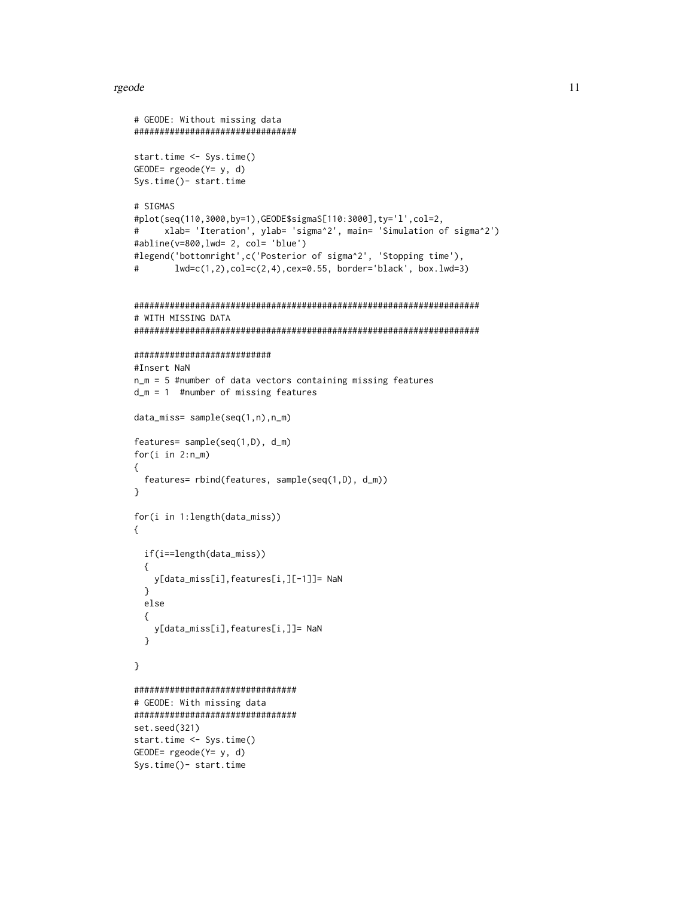#### rgeode

```
# GEODE: Without missing data
###############################
start.time <- Sys.time()
GEODE= rgeode(Y= y, d)Sys.time()- start.time
# SIGMAS
#plot(seq(110,3000,by=1),GEODE$sigmaS[110:3000],ty='l',col=2,
     xlab= 'Iteration', ylab= 'sigma^2', main= 'Simulation of sigma^2')
##abline(v=800,lwd= 2, col= 'blue')
#legend('bottomright',c('Posterior of sigma^2', 'Stopping time'),
^{\#}lwd = c(1, 2), col = c(2, 4), cex = 0.55, border='black', box.lwd = 3)# WITH MISSING DATA
###########################
#Insert NaN
n_m = 5 #number of data vectors containing missing features
d_m = 1 #number of missing features
data_miss= sample(seq(1,n),n_m)
features= sample(seq(1, D), d_m)for(i in 2:n_m)€
 features= rbind(features, sample(seq(1,D), d_m))
\mathcal{E}for(i in 1:length(data_miss))
€
 if(i==length(data_miss))
 €
   y[data_miss[i], features[i,][-1]]= NaN
 \mathcal{E}else
 \{y[data_miss[i], features[i,]]= NaN
 \mathcal{E}\mathcal{E}###############################
# GEODE: With missing data
################################
set.seed(321)
start.time <- Sys.time()
GEODE= rgeode(Y= y, d)
Sys.time()- start.time
```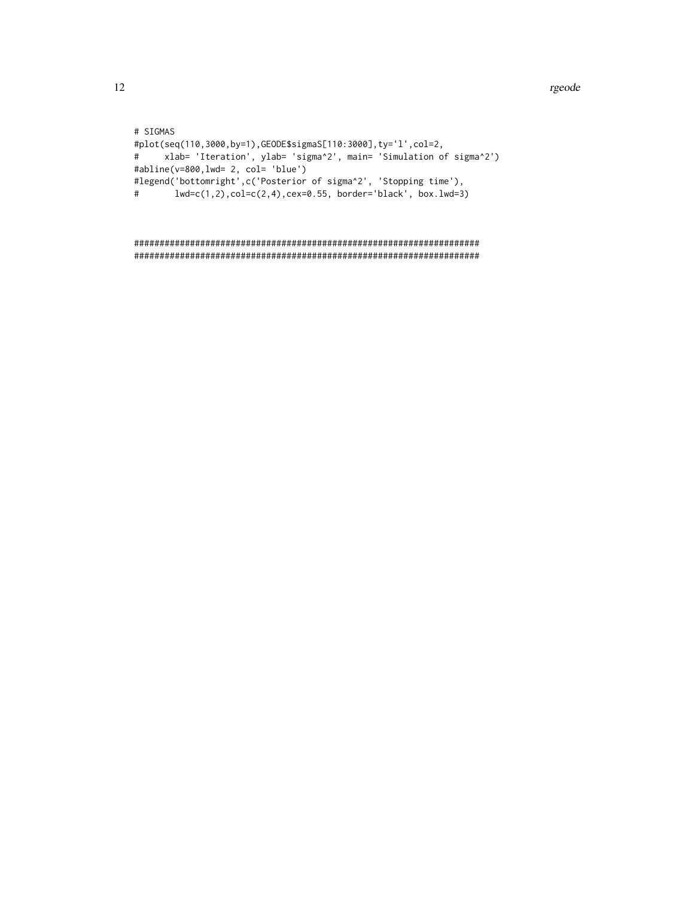# SIGMAS #plot(seq(110,3000,by=1),GEODE\$sigmaS[110:3000],ty='l',col=2, xlab= 'Iteration', ylab= 'sigma^2', main= 'Simulation of sigma^2')  $#$ #abline(v=800,lwd= 2, col= 'blue') #legend('bottomright',c('Posterior of sigma^2', 'Stopping time'),  $#$  $lwd=c(1,2), col=c(2,4), cex=0.55, border='black', box.lwd=3)$